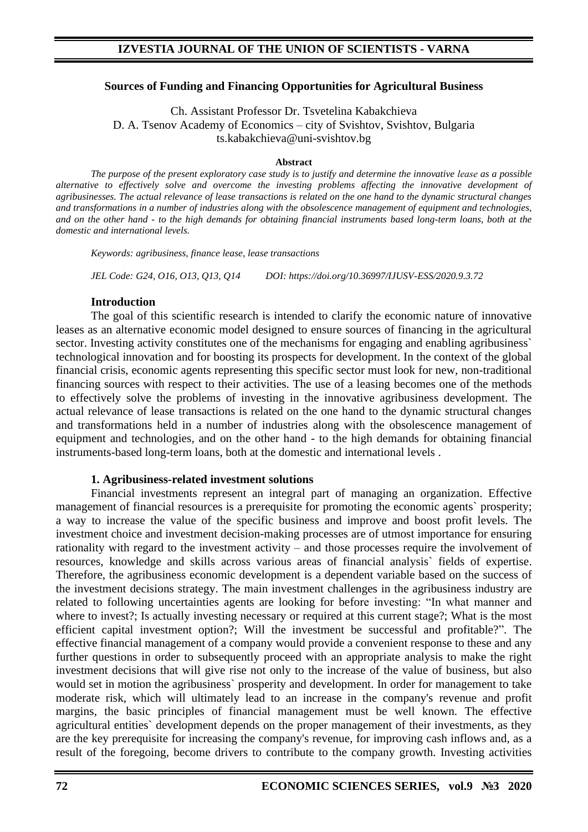#### **Sources of Funding and Financing Opportunities for Agricultural Business**

Ch. Assistant Professor Dr. Tsvetelina Kabakchieva D. A. Tsenov Academy of Economics – city of Svishtov, Svishtov, Bulgaria ts.kabakchieva@uni-svishtov.bg

#### **Abstract**

*The purpose of the present exploratory case study is to justify and determine the innovative leasе as a possible alternative to effectively solve and overcome the investing problems affecting the innovative development of agribusinesses. The actual relevance of lease transactions is related on the one hand to the dynamic structural changes and transformations in a number of industries along with the obsolescence management of equipment and technologies, and on the other hand - to the high demands for obtaining financial instruments based long-term loans, both at the domestic and international levels.*

*Keywords: agribusiness, finance lease, lease transactions* 

*JEL Code: G24, O16, O13, Q13, Q14 DOI: https://doi.org/10.36997/IJUSV-ESS/2020.9.3.72*

#### **Introduction**

The goal of this scientific research is intended to clarify the economic nature of innovative leases as an alternative economic model designed to ensure sources of financing in the agricultural sector. Investing activity constitutes one of the mechanisms for engaging and enabling agribusiness` technological innovation and for boosting its prospects for development. In the context of the global financial crisis, economic agents representing this specific sector must look for new, non-traditional financing sources with respect to their activities. The use of a leasing becomes one of the methods to effectively solve the problems of investing in the innovative agribusiness development. The actual relevance of lease transactions is related on the one hand to the dynamic structural changes and transformations held in a number of industries along with the obsolescence management of equipment and technologies, and on the other hand - to the high demands for obtaining financial instruments-based long-term loans, both at the domestic and international levels .

#### **1. Agribusiness-related investment solutions**

Financial investments represent an integral part of managing an organization. Effective management of financial resources is a prerequisite for promoting the economic agents` prosperity; a way to increase the value of the specific business and improve and boost profit levels. The investment choice and investment decision-making processes are of utmost importance for ensuring rationality with regard to the investment activity – and those processes require the involvement of resources, knowledge and skills across various areas of financial analysis` fields of expertise. Therefore, the agribusiness economic development is a dependent variable based on the success of the investment decisions strategy. The main investment challenges in the agribusiness industry are related to following uncertainties agents are looking for before investing: "In what manner and where to invest?; Is actually investing necessary or required at this current stage?; What is the most efficient capital investment option?; Will the investment be successful and profitable?". The effective financial management of a company would provide a convenient response to these and any further questions in order to subsequently proceed with an appropriate analysis to make the right investment decisions that will give rise not only to the increase of the value of business, but also would set in motion the agribusiness` prosperity and development. In order for management to take moderate risk, which will ultimately lead to an increase in the company's revenue and profit margins, the basic principles of financial management must be well known. The effective agricultural entities` development depends on the proper management of their investments, as they are the key prerequisite for increasing the company's revenue, for improving cash inflows and, as a result of the foregoing, become drivers to contribute to the company growth. Investing activities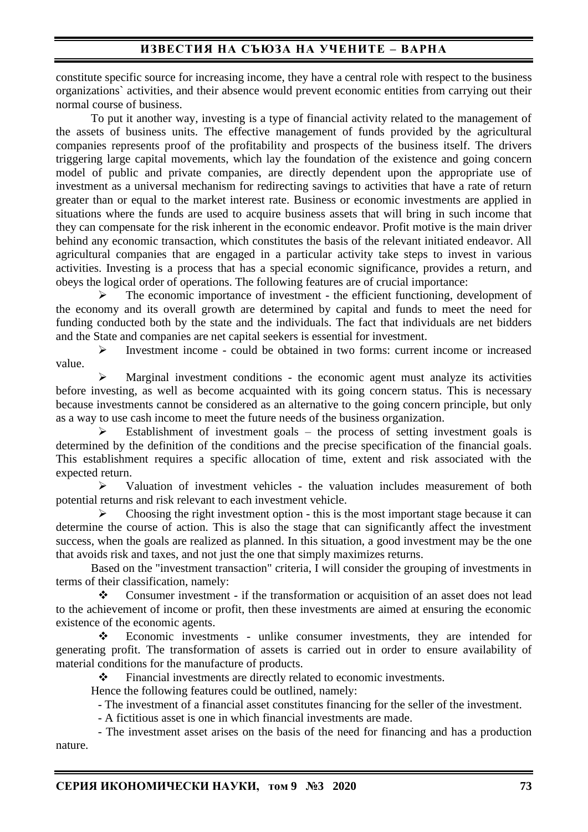## **ИЗВЕСТИЯ НА СЪЮЗА НА УЧЕНИТЕ – ВАРНА**

constitute specific source for increasing income, they have a central role with respect to the business organizations` activities, and their absence would prevent economic entities from carrying out their normal course of business.

To put it another way, investing is a type of financial activity related to the management of the assets of business units. The effective management of funds provided by the agricultural companies represents proof of the profitability and prospects of the business itself. The drivers triggering large capital movements, which lay the foundation of the existence and going concern model of public and private companies, are directly dependent upon the appropriate use of investment as a universal mechanism for redirecting savings to activities that have a rate of return greater than or equal to the market interest rate. Business or economic investments are applied in situations where the funds are used to acquire business assets that will bring in such income that they can compensate for the risk inherent in the economic endeavor. Profit motive is the main driver behind any economic transaction, which constitutes the basis of the relevant initiated endeavor. All agricultural companies that are engaged in a particular activity take steps to invest in various activities. Investing is a process that has a special economic significance, provides a return, and obeys the logical order of operations. The following features are of crucial importance:

The economic importance of investment - the efficient functioning, development of the economy and its overall growth are determined by capital and funds to meet the need for funding conducted both by the state and the individuals. The fact that individuals are net bidders and the State and companies are net capital seekers is essential for investment.

➢ Investment income - could be obtained in two forms: current income or increased value.

Marginal investment conditions - the economic agent must analyze its activities before investing, as well as become acquainted with its going concern status. This is necessary because investments cannot be considered as an alternative to the going concern principle, but only as a way to use cash income to meet the future needs of the business organization.

 $\triangleright$  Establishment of investment goals – the process of setting investment goals is determined by the definition of the conditions and the precise specification of the financial goals. This establishment requires a specific allocation of time, extent and risk associated with the expected return.

 $\triangleright$  Valuation of investment vehicles - the valuation includes measurement of both potential returns and risk relevant to each investment vehicle.

 $\triangleright$  Choosing the right investment option - this is the most important stage because it can determine the course of action. This is also the stage that can significantly affect the investment success, when the goals are realized as planned. In this situation, a good investment may be the one that avoids risk and taxes, and not just the one that simply maximizes returns.

Based on the "investment transaction" criteria, I will consider the grouping of investments in terms of their classification, namely:

❖ Consumer investment - if the transformation or acquisition of an asset does not lead to the achievement of income or profit, then these investments are aimed at ensuring the economic existence of the economic agents.

❖ Economic investments - unlike consumer investments, they are intended for generating profit. The transformation of assets is carried out in order to ensure availability of material conditions for the manufacture of products.

❖ Financial investments are directly related to economic investments.

Hence the following features could be outlined, namely:

- The investment of a financial asset constitutes financing for the seller of the investment.

- A fictitious asset is one in which financial investments are made.

- The investment asset arises on the basis of the need for financing and has a production nature.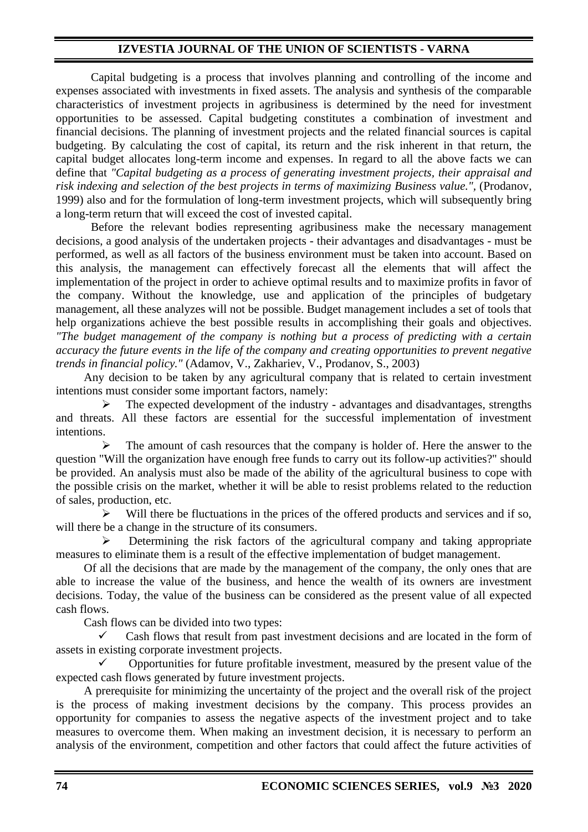## **IZVESTIA JOURNAL OF THE UNION OF SCIENTISTS - VARNA**

Capital budgeting is a process that involves planning and controlling of the income and expenses associated with investments in fixed assets. The analysis and synthesis of the comparable characteristics of investment projects in agribusiness is determined by the need for investment opportunities to be assessed. Capital budgeting constitutes a combination of investment and financial decisions. The planning of investment projects and the related financial sources is capital budgeting. By calculating the cost of capital, its return and the risk inherent in that return, the capital budget allocates long-term income and expenses. In regard to all the above facts we can define that *"Capital budgeting as a process of generating investment projects, their appraisal and risk indexing and selection of the best projects in terms of maximizing Business value.",* (Prodanov, 1999) also and for the formulation of long-term investment projects, which will subsequently bring a long-term return that will exceed the cost of invested capital.

Before the relevant bodies representing agribusiness make the necessary management decisions, a good analysis of the undertaken projects - their advantages and disadvantages - must be performed, as well as all factors of the business environment must be taken into account. Based on this analysis, the management can effectively forecast all the elements that will affect the implementation of the project in order to achieve optimal results and to maximize profits in favor of the company. Without the knowledge, use and application of the principles of budgetary management, all these analyzes will not be possible. Budget management includes a set of tools that help organizations achieve the best possible results in accomplishing their goals and objectives. *"The budget management of the company is nothing but a process of predicting with a certain accuracy the future events in the life of the company and creating opportunities to prevent negative trends in financial policy."* (Adamov, V., Zakhariev, V., Prodanov, S., 2003)

Any decision to be taken by any agricultural company that is related to certain investment intentions must consider some important factors, namely:

The expected development of the industry - advantages and disadvantages, strengths and threats. All these factors are essential for the successful implementation of investment intentions.

 $\triangleright$  The amount of cash resources that the company is holder of. Here the answer to the question "Will the organization have enough free funds to carry out its follow-up activities?" should be provided. An analysis must also be made of the ability of the agricultural business to cope with the possible crisis on the market, whether it will be able to resist problems related to the reduction of sales, production, etc.

➢ Will there be fluctuations in the prices of the offered products and services and if so, will there be a change in the structure of its consumers.

➢ Determining the risk factors of the agricultural company and taking appropriate measures to eliminate them is a result of the effective implementation of budget management.

Of all the decisions that are made by the management of the company, the only ones that are able to increase the value of the business, and hence the wealth of its owners are investment decisions. Today, the value of the business can be considered as the present value of all expected cash flows.

Cash flows can be divided into two types:

Cash flows that result from past investment decisions and are located in the form of assets in existing corporate investment projects.

✓ Opportunities for future profitable investment, measured by the present value of the expected cash flows generated by future investment projects.

A prerequisite for minimizing the uncertainty of the project and the overall risk of the project is the process of making investment decisions by the company. This process provides an opportunity for companies to assess the negative aspects of the investment project and to take measures to overcome them. When making an investment decision, it is necessary to perform an analysis of the environment, competition and other factors that could affect the future activities of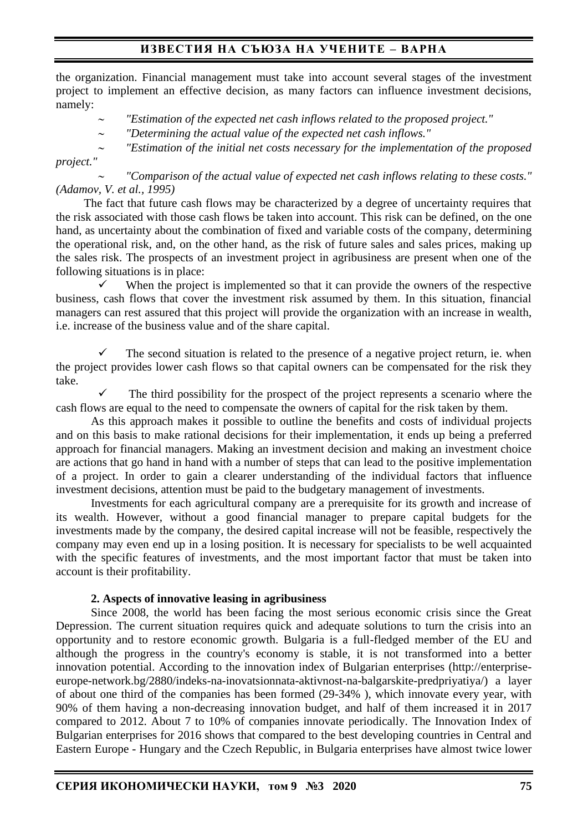## **ИЗВЕСТИЯ НА СЪЮЗА НА УЧЕНИТЕ – ВАРНА**

the organization. Financial management must take into account several stages of the investment project to implement an effective decision, as many factors can influence investment decisions, namely:

- *"Estimation of the expected net cash inflows related to the proposed project."*
- *"Determining the actual value of the expected net cash inflows."*
- *"Estimation of the initial net costs necessary for the implementation of the proposed project."*

 *"Comparison of the actual value of expected net cash inflows relating to these costs." (Adamov, V. et al., 1995)*

The fact that future cash flows may be characterized by a degree of uncertainty requires that the risk associated with those cash flows be taken into account. This risk can be defined, on the one hand, as uncertainty about the combination of fixed and variable costs of the company, determining the operational risk, and, on the other hand, as the risk of future sales and sales prices, making up the sales risk. The prospects of an investment project in agribusiness are present when one of the following situations is in place:

When the project is implemented so that it can provide the owners of the respective business, cash flows that cover the investment risk assumed by them. In this situation, financial managers can rest assured that this project will provide the organization with an increase in wealth, i.e. increase of the business value and of the share capital.

The second situation is related to the presence of a negative project return, ie. when the project provides lower cash flows so that capital owners can be compensated for the risk they take.

The third possibility for the prospect of the project represents a scenario where the cash flows are equal to the need to compensate the owners of capital for the risk taken by them.

As this approach makes it possible to outline the benefits and costs of individual projects and on this basis to make rational decisions for their implementation, it ends up being a preferred approach for financial managers. Making an investment decision and making an investment choice are actions that go hand in hand with a number of steps that can lead to the positive implementation of a project. In order to gain a clearer understanding of the individual factors that influence investment decisions, attention must be paid to the budgetary management of investments.

Investments for each agricultural company are a prerequisite for its growth and increase of its wealth. However, without a good financial manager to prepare capital budgets for the investments made by the company, the desired capital increase will not be feasible, respectively the company may even end up in a losing position. It is necessary for specialists to be well acquainted with the specific features of investments, and the most important factor that must be taken into account is their profitability.

#### **2. Aspects of innovative leasing in agribusiness**

Since 2008, the world has been facing the most serious economic crisis since the Great Depression. The current situation requires quick and adequate solutions to turn the crisis into an opportunity and to restore economic growth. Bulgaria is a full-fledged member of the EU and although the progress in the country's economy is stable, it is not transformed into a better innovation potential. According to the innovation index of Bulgarian enterprises (http://enterpriseeurope-network.bg/2880/indeks-na-inovatsionnata-aktivnost-na-balgarskite-predpriyatiya/) a layer of about one third of the companies has been formed (29-34% ), which innovate every year, with 90% of them having a non-decreasing innovation budget, and half of them increased it in 2017 compared to 2012. About 7 to 10% of companies innovate periodically. The Innovation Index of Bulgarian enterprises for 2016 shows that compared to the best developing countries in Central and Eastern Europe - Hungary and the Czech Republic, in Bulgaria enterprises have almost twice lower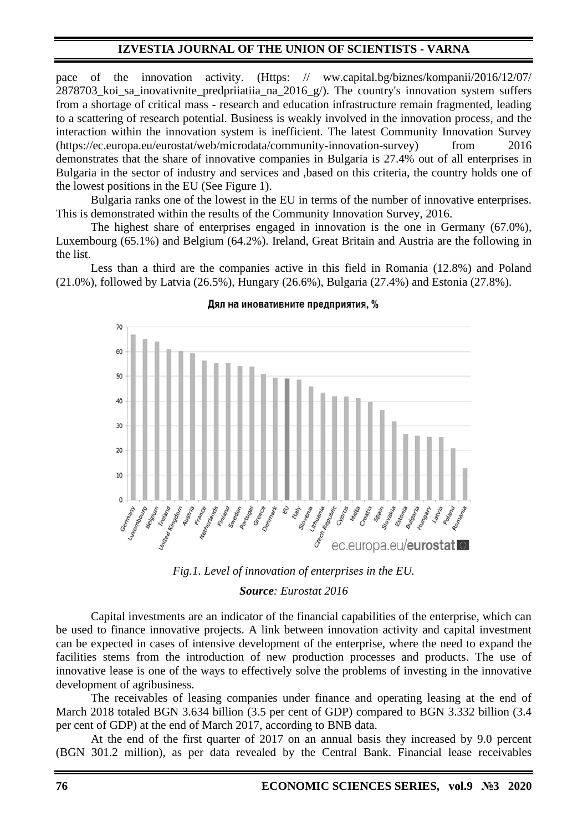## **IZVESTIA JOURNAL OF THE UNION OF SCIENTISTS - VARNA**

pace of the innovation activity. (Https: // ww.capital.bg/biznes/kompanii/2016/12/07/ 2878703 koi sa inovativnite predpriiatiia na 2016  $g/$ ). The country's innovation system suffers from a shortage of critical mass - research and education infrastructure remain fragmented, leading to a scattering of research potential. Business is weakly involved in the innovation process, and the interaction within the innovation system is inefficient. The latest Community Innovation Survey (https://ec.europa.eu/eurostat/web/microdata/community-innovation-survey) from 2016 demonstrates that the share of innovative companies in Bulgaria is 27.4% out of all enterprises in Bulgaria in the sector of industry and services and ,based on this criteria, the country holds one of the lowest positions in the EU (See Figure 1).

Bulgaria ranks one of the lowest in the EU in terms of the number of innovative enterprises. This is demonstrated within the results of the Community Innovation Survey, 2016.

The highest share of enterprises engaged in innovation is the one in Germany (67.0%), Luxembourg (65.1%) and Belgium (64.2%). Ireland, Great Britain and Austria are the following in the list.

Less than a third are the companies active in this field in Romania (12.8%) and Poland (21.0%), followed by Latvia (26.5%), Hungary (26.6%), Bulgaria (27.4%) and Estonia (27.8%).



#### Дял на иновативните предприятия, %



Capital investments are an indicator of the financial capabilities of the enterprise, which can be used to finance innovative projects. A link between innovation activity and capital investment can be expected in cases of intensive development of the enterprise, where the need to expand the facilities stems from the introduction of new production processes and products. The use of innovative lease is one of the ways to effectively solve the problems of investing in the innovative development of agribusiness.

The receivables of leasing companies under finance and operating leasing at the end of March 2018 totaled BGN 3.634 billion (3.5 per cent of GDP) compared to BGN 3.332 billion (3.4 per cent of GDP) at the end of March 2017, according to BNB data.

At the end of the first quarter of 2017 on an annual basis they increased by 9.0 percent (BGN 301.2 million), as per data revealed by the Central Bank. Financial lease receivables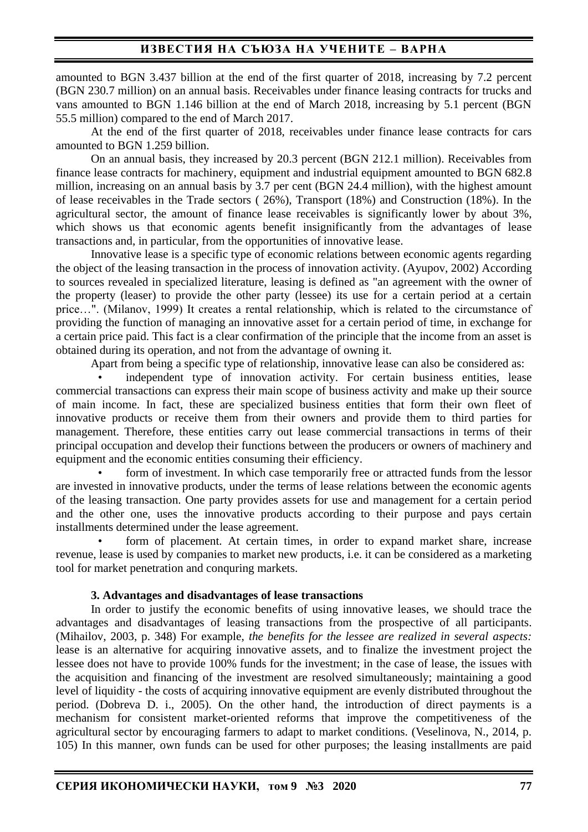amounted to BGN 3.437 billion at the end of the first quarter of 2018, increasing by 7.2 percent (BGN 230.7 million) on an annual basis. Receivables under finance leasing contracts for trucks and vans amounted to BGN 1.146 billion at the end of March 2018, increasing by 5.1 percent (BGN 55.5 million) compared to the end of March 2017.

At the end of the first quarter of 2018, receivables under finance lease contracts for cars amounted to BGN 1.259 billion.

On an annual basis, they increased by 20.3 percent (BGN 212.1 million). Receivables from finance lease contracts for machinery, equipment and industrial equipment amounted to BGN 682.8 million, increasing on an annual basis by 3.7 per cent (BGN 24.4 million), with the highest amount of lease receivables in the Trade sectors ( 26%), Transport (18%) and Construction (18%). In the agricultural sector, the amount of finance lease receivables is significantly lower by about 3%, which shows us that economic agents benefit insignificantly from the advantages of lease transactions and, in particular, from the opportunities of innovative lease.

Innovative lease is a specific type of economic relations between economic agents regarding the object of the leasing transaction in the process of innovation activity. (Ayupov, 2002) According to sources revealed in specialized literature, leasing is defined as "an agreement with the owner of the property (leaser) to provide the other party (lessee) its use for a certain period at a certain price…". (Milanov, 1999) It creates a rental relationship, which is related to the circumstance of providing the function of managing an innovative asset for a certain period of time, in exchange for a certain price paid. This fact is a clear confirmation of the principle that the income from an asset is obtained during its operation, and not from the advantage of owning it.

Apart from being a specific type of relationship, innovative lease can also be considered as:

independent type of innovation activity. For certain business entities, lease commercial transactions can express their main scope of business activity and make up their source of main income. In fact, these are specialized business entities that form their own fleet of innovative products or receive them from their owners and provide them to third parties for management. Therefore, these entities carry out lease commercial transactions in terms of their principal occupation and develop their functions between the producers or owners of machinery and equipment and the economic entities consuming their efficiency.

form of investment. In which case temporarily free or attracted funds from the lessor are invested in innovative products, under the terms of lease relations between the economic agents of the leasing transaction. One party provides assets for use and management for a certain period and the other one, uses the innovative products according to their purpose and pays certain installments determined under the lease agreement.

form of placement. At certain times, in order to expand market share, increase revenue, lease is used by companies to market new products, i.e. it can be considered as a marketing tool for market penetration and conquring markets.

### **3. Advantages and disadvantages of lease transactions**

In order to justify the economic benefits of using innovative leases, we should trace the advantages and disadvantages of leasing transactions from the prospective of all participants. (Mihailov, 2003, p. 348) For example, *the benefits for the lessee are realized in several aspects:* lease is an alternative for acquiring innovative assets, and to finalize the investment project the lessee does not have to provide 100% funds for the investment; in the case of lease, the issues with the acquisition and financing of the investment are resolved simultaneously; maintaining a good level of liquidity - the costs of acquiring innovative equipment are evenly distributed throughout the period. (Dobreva D. i., 2005). On the other hand, the introduction of direct payments is a mechanism for consistent market-oriented reforms that improve the competitiveness of the agricultural sector by encouraging farmers to adapt to market conditions. (Veselinova, N., 2014, p. 105) In this manner, own funds can be used for other purposes; the leasing installments are paid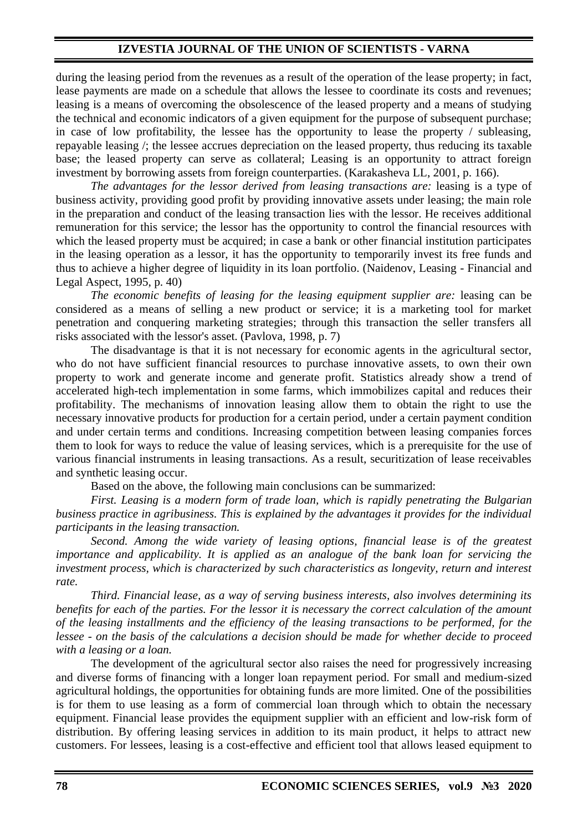### **IZVESTIA JOURNAL OF THE UNION OF SCIENTISTS - VARNA**

during the leasing period from the revenues as a result of the operation of the lease property; in fact, lease payments are made on a schedule that allows the lessee to coordinate its costs and revenues; leasing is a means of overcoming the obsolescence of the leased property and a means of studying the technical and economic indicators of a given equipment for the purpose of subsequent purchase; in case of low profitability, the lessee has the opportunity to lease the property / subleasing, repayable leasing /; the lessee accrues depreciation on the leased property, thus reducing its taxable base; the leased property can serve as collateral; Leasing is an opportunity to attract foreign investment by borrowing assets from foreign counterparties. (Karakasheva LL, 2001, p. 166).

*The advantages for the lessor derived from leasing transactions are:* leasing is a type of business activity, providing good profit by providing innovative assets under leasing; the main role in the preparation and conduct of the leasing transaction lies with the lessor. He receives additional remuneration for this service; the lessor has the opportunity to control the financial resources with which the leased property must be acquired; in case a bank or other financial institution participates in the leasing operation as a lessor, it has the opportunity to temporarily invest its free funds and thus to achieve a higher degree of liquidity in its loan portfolio. (Naidenov, Leasing - Financial and Legal Aspect, 1995, p. 40)

*The economic benefits of leasing for the leasing equipment supplier are:* leasing can be considered as a means of selling a new product or service; it is a marketing tool for market penetration and conquering marketing strategies; through this transaction the seller transfers all risks associated with the lessor's asset. (Pavlova, 1998, p. 7)

The disadvantage is that it is not necessary for economic agents in the agricultural sector, who do not have sufficient financial resources to purchase innovative assets, to own their own property to work and generate income and generate profit. Statistics already show a trend of accelerated high-tech implementation in some farms, which immobilizes capital and reduces their profitability. The mechanisms of innovation leasing allow them to obtain the right to use the necessary innovative products for production for a certain period, under a certain payment condition and under certain terms and conditions. Increasing competition between leasing companies forces them to look for ways to reduce the value of leasing services, which is a prerequisite for the use of various financial instruments in leasing transactions. As a result, securitization of lease receivables and synthetic leasing occur.

Based on the above, the following main conclusions can be summarized:

*First. Leasing is a modern form of trade loan, which is rapidly penetrating the Bulgarian business practice in agribusiness. This is explained by the advantages it provides for the individual participants in the leasing transaction.*

*Second. Among the wide variety of leasing options, financial lease is of the greatest importance and applicability. It is applied as an analogue of the bank loan for servicing the investment process, which is characterized by such characteristics as longevity, return and interest rate.*

*Third. Financial lease, as a way of serving business interests, also involves determining its benefits for each of the parties. For the lessor it is necessary the correct calculation of the amount of the leasing installments and the efficiency of the leasing transactions to be performed, for the lessee - on the basis of the calculations a decision should be made for whether decide to proceed with a leasing or a loan.*

The development of the agricultural sector also raises the need for progressively increasing and diverse forms of financing with a longer loan repayment period. For small and medium-sized agricultural holdings, the opportunities for obtaining funds are more limited. One of the possibilities is for them to use leasing as a form of commercial loan through which to obtain the necessary equipment. Financial lease provides the equipment supplier with an efficient and low-risk form of distribution. By offering leasing services in addition to its main product, it helps to attract new customers. For lessees, leasing is a cost-effective and efficient tool that allows leased equipment to